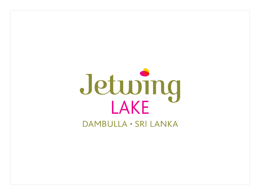# Jeturing

DAMBULLA · SRI LANKA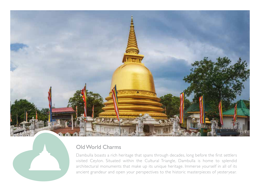

# Old World Charms

Dambulla boasts a rich heritage that spans through decades, long before the first settlers visited Ceylon. Situated within the Cultural Triangle, Dambulla is home to splendid architectural monuments that make up its unique heritage. Immerse yourself in all of its ancient grandeur and open your perspectives to the historic masterpieces of yesteryear.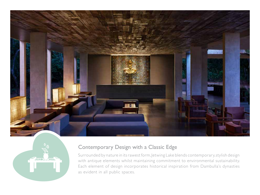



## Contemporary Design with a Classic Edge

Surrounded by nature in its rawest form, Jetwing Lake blends contemporary, stylish design with antique elements whilst maintaining commitment to environmental sustainability. Each element of design incorporates historical inspiration from Dambulla's dynasties as evident in all public spaces.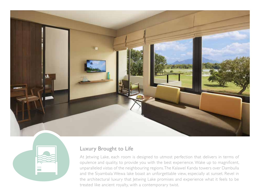



#### Luxury Brought to Life

At Jetwing Lake, each room is designed to utmost perfection that delivers in terms of opulence and quality, to provide you with the best experience. Wake up to magnificent, unparalleled vistas of the neighbouring regions. The Kalawel Kanda towers over Dambulla and the Siyambala Wewa lake boast an unforgettable view, especially at sunset. Revel in the architectural luxury that Jetwing Lake promises and experience what it feels to be treated like ancient royalty, with a contemporary twist.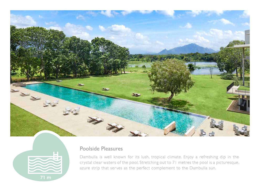



# Poolside Pleasures

Dambulla is well known for its lush, tropical climate. Enjoy a refreshing dip in the crystal clear waters of the pool. Stretching out to 71 metres the pool is a picturesque, azure strip that serves as the perfect complement to the Dambulla sun.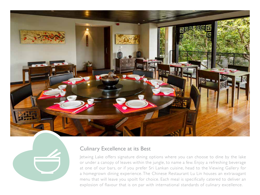

#### Culinary Excellence at its Best

Jetwing Lake offers signature dining options where you can choose to dine by the lake or under a canopy of leaves within the jungle, to name a few. Enjoy a refreshing beverage at one of our bars, or if you prefer Sri Lankan cuisine, head to the Viewing Gallery for a homegrown dining experience. The Chinese Restaurant Lu Lin houses an extravagant menu that will leave you spoilt for choice. Each meal is specifically catered to deliver an explosion of flavour that is on par with international standards of culinary excellence.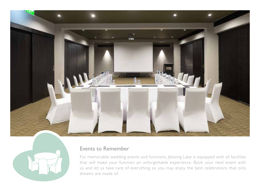



### Events to Remember

For memorable wedding events and functions, Jetwing Lake is equipped with all facilities that will make your function an unforgettable experience. Book your next event with us and let us take care of everything so you may enjoy the best celebrations that only dreams are made of.